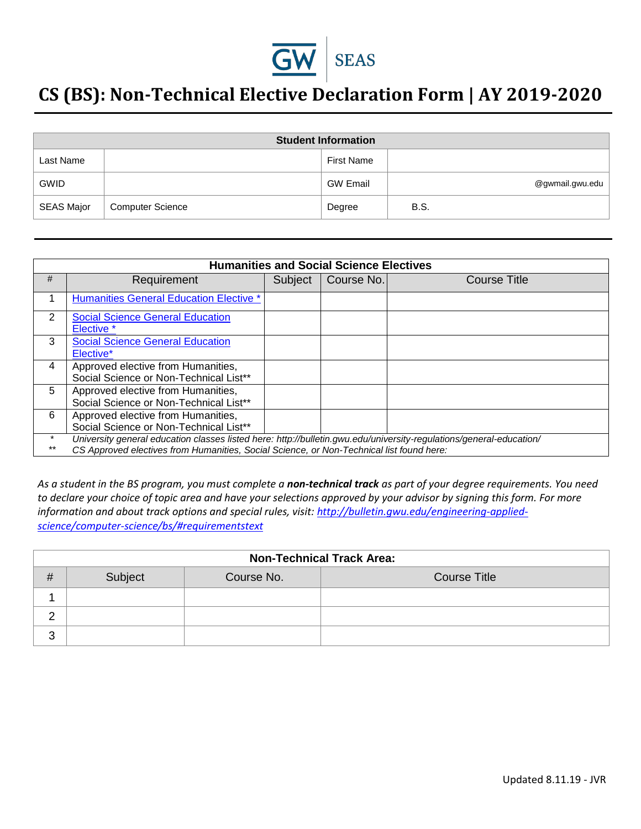

# **CS (BS): Non-Technical Elective Declaration Form | AY 2019-2020**

| <b>Student Information</b> |                         |                   |                 |  |
|----------------------------|-------------------------|-------------------|-----------------|--|
| Last Name                  |                         | <b>First Name</b> |                 |  |
| <b>GWID</b>                |                         | <b>GW Email</b>   | @gwmail.gwu.edu |  |
| <b>SEAS Major</b>          | <b>Computer Science</b> | Degree            | <b>B.S.</b>     |  |

| <b>Humanities and Social Science Electives</b> |                                                                                                                                                                                                                 |         |            |              |
|------------------------------------------------|-----------------------------------------------------------------------------------------------------------------------------------------------------------------------------------------------------------------|---------|------------|--------------|
| #                                              | Requirement                                                                                                                                                                                                     | Subject | Course No. | Course Title |
|                                                | <b>Humanities General Education Elective *</b>                                                                                                                                                                  |         |            |              |
| 2                                              | <b>Social Science General Education</b><br>Elective *                                                                                                                                                           |         |            |              |
| 3                                              | <b>Social Science General Education</b><br>Elective <sup>*</sup>                                                                                                                                                |         |            |              |
| 4                                              | Approved elective from Humanities,<br>Social Science or Non-Technical List**                                                                                                                                    |         |            |              |
| 5                                              | Approved elective from Humanities,<br>Social Science or Non-Technical List**                                                                                                                                    |         |            |              |
| 6                                              | Approved elective from Humanities,<br>Social Science or Non-Technical List**                                                                                                                                    |         |            |              |
| $***$                                          | University general education classes listed here: http://bulletin.gwu.edu/university-regulations/general-education/<br>CS Approved electives from Humanities, Social Science, or Non-Technical list found here: |         |            |              |

*As a student in the BS program, you must complete a non-technical track as part of your degree requirements. You need to declare your choice of topic area and have your selections approved by your advisor by signing this form. For more information and about track options and special rules, visit: [http://bulletin.gwu.edu/engineering-applied](http://bulletin.gwu.edu/engineering-applied-science/computer-science/bs/#requirementstext)[science/computer-science/bs/#requirementstext](http://bulletin.gwu.edu/engineering-applied-science/computer-science/bs/#requirementstext)*

| <b>Non-Technical Track Area:</b> |         |            |                     |
|----------------------------------|---------|------------|---------------------|
| #                                | Subject | Course No. | <b>Course Title</b> |
|                                  |         |            |                     |
|                                  |         |            |                     |
| 3                                |         |            |                     |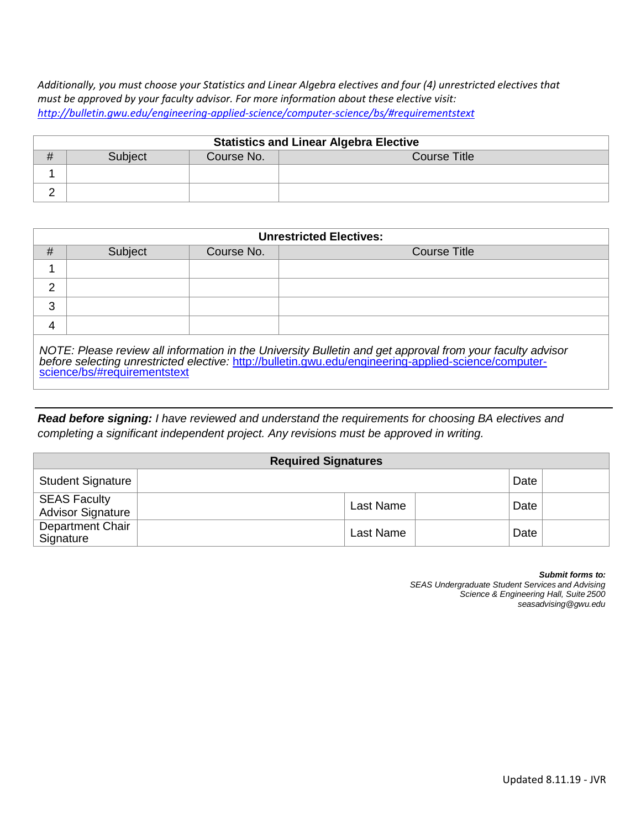*Additionally, you must choose your Statistics and Linear Algebra electives and four (4) unrestricted electives that must be approved by your faculty advisor. For more information about these elective visit: <http://bulletin.gwu.edu/engineering-applied-science/computer-science/bs/#requirementstext>*

| <b>Statistics and Linear Algebra Elective</b> |         |            |                     |
|-----------------------------------------------|---------|------------|---------------------|
| $\mathbf{H}$                                  | Subiect | Course No. | <b>Course Title</b> |
|                                               |         |            |                     |
|                                               |         |            |                     |

| <b>Unrestricted Electives:</b> |                              |            |                                                                                                                                                                                                                    |  |  |
|--------------------------------|------------------------------|------------|--------------------------------------------------------------------------------------------------------------------------------------------------------------------------------------------------------------------|--|--|
| #                              | Subject                      | Course No. | Course Title                                                                                                                                                                                                       |  |  |
|                                |                              |            |                                                                                                                                                                                                                    |  |  |
| 2                              |                              |            |                                                                                                                                                                                                                    |  |  |
| 3                              |                              |            |                                                                                                                                                                                                                    |  |  |
| 4                              |                              |            |                                                                                                                                                                                                                    |  |  |
|                                | science/bs/#requirementstext |            | NOTE: Please review all information in the University Bulletin and get approval from your faculty advisor<br>before selecting unrestricted elective: http://bulletin.gwu.edu/engineering-applied-science/computer- |  |  |

*Read before signing: I have reviewed and understand the requirements for choosing BA electives and completing a significant independent project. Any revisions must be approved in writing.*

|                                                 | <b>Required Signatures</b> |           |      |  |
|-------------------------------------------------|----------------------------|-----------|------|--|
| <b>Student Signature</b>                        |                            |           | Date |  |
| <b>SEAS Faculty</b><br><b>Advisor Signature</b> |                            | Last Name | Date |  |
| Department Chair<br>Signature                   |                            | Last Name | Date |  |

| Submit forms to:                                        |
|---------------------------------------------------------|
| <b>SEAS Undergraduate Student Services and Advising</b> |
| Science & Engineering Hall, Suite 2500                  |
| seasadvising@gwu.edu                                    |